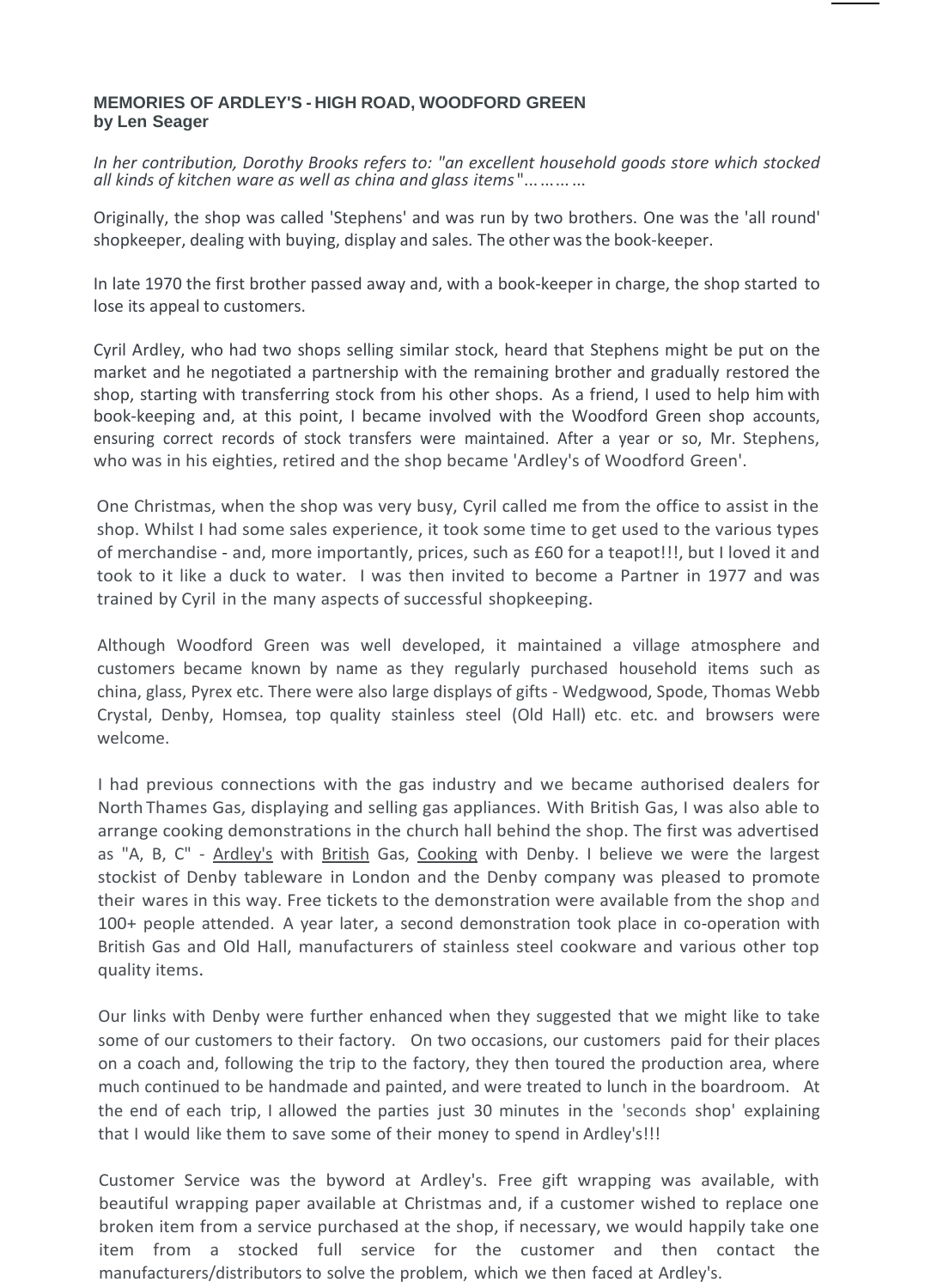## **MEMORIES OF ARDLEY'S - HIGH ROAD, WOODFORD GREEN by Len Seager**

*In her contribution, Dorothy Brooks refers to: "an excellent household goods store which stocked all kinds of kitchen ware as well as china and glass items* "... ...... ...

Originally, the shop was called 'Stephens' and was run by two brothers. One was the 'all round' shopkeeper, dealing with buying, display and sales. The other wasthe book-keeper.

In late 1970 the first brother passed away and, with a book-keeper in charge, the shop started to lose its appeal to customers.

Cyril Ardley, who had two shops selling similar stock, heard that Stephens might be put on the market and he negotiated a partnership with the remaining brother and gradually restored the shop, starting with transferring stock from his other shops. As a friend, I used to help him with book-keeping and, at this point, I became involved with the Woodford Green shop accounts, ensuring correct records of stock transfers were maintained. After a year or so, Mr. Stephens, who was in his eighties, retired and the shop became 'Ardley's of Woodford Green'.

One Christmas, when the shop was very busy, Cyril called me from the office to assist in the shop. Whilst I had some sales experience, it took some time to get used to the various types of merchandise - and, more importantly, prices, such as £60 for a teapot!!!, but I loved it and took to it like a duck to water. I was then invited to become a Partner in 1977 and was trained by Cyril in the many aspects of successful shopkeeping.

Although Woodford Green was well developed, it maintained a village atmosphere and customers became known by name as they regularly purchased household items such as china, glass, Pyrex etc. There were also large displays of gifts - Wedgwood, Spode, Thomas Webb Crystal, Denby, Homsea, top quality stainless steel (Old Hall) etc. etc. and browsers were welcome.

I had previous connections with the gas industry and we became authorised dealers for North Thames Gas, displaying and selling gas appliances. With British Gas, I was also able to arrange cooking demonstrations in the church hall behind the shop. The first was advertised as "A, B, C" - Ardley's with British Gas, Cooking with Denby. I believe we were the largest stockist of Denby tableware in London and the Denby company was pleased to promote their wares in this way. Free tickets to the demonstration were available from the shop and 100+ people attended. A year later, a second demonstration took place in co-operation with British Gas and Old Hall, manufacturers of stainless steel cookware and various other top quality items.

Our links with Denby were further enhanced when they suggested that we might like to take some of our customers to their factory. On two occasions, our customers paid for their places on a coach and, following the trip to the factory, they then toured the production area, where much continued to be handmade and painted, and were treated to lunch in the boardroom. At the end of each trip, I allowed the parties just 30 minutes in the 'seconds shop' explaining that I would like them to save some of their money to spend in Ardley's!!!

Customer Service was the byword at Ardley's. Free gift wrapping was available, with beautiful wrapping paper available at Christmas and, if a customer wished to replace one broken item from a service purchased at the shop, if necessary, we would happily take one item from a stocked full service for the customer and then contact the manufacturers/distributors to solve the problem, which we then faced at Ardley's.